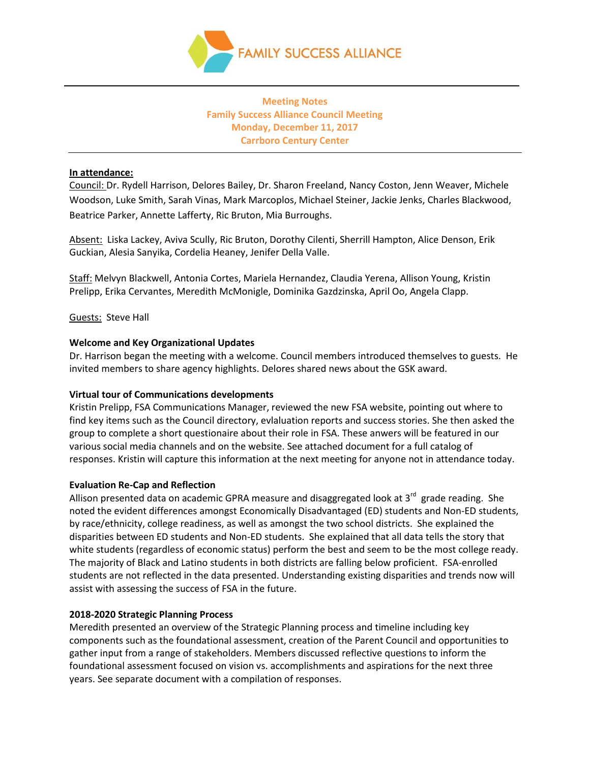

#### **Meeting Notes Family Success Alliance Council Meeting Monday, December 11, 2017 Carrboro Century Center**

#### **In attendance:**

Council: Dr. Rydell Harrison, Delores Bailey, Dr. Sharon Freeland, Nancy Coston, Jenn Weaver, Michele Woodson, Luke Smith, Sarah Vinas, Mark Marcoplos, Michael Steiner, Jackie Jenks, Charles Blackwood, Beatrice Parker, Annette Lafferty, Ric Bruton, Mia Burroughs.

Absent: Liska Lackey, Aviva Scully, Ric Bruton, Dorothy Cilenti, Sherrill Hampton, Alice Denson, Erik Guckian, Alesia Sanyika, Cordelia Heaney, Jenifer Della Valle.

Staff: Melvyn Blackwell, Antonia Cortes, Mariela Hernandez, Claudia Yerena, Allison Young, Kristin Prelipp, Erika Cervantes, Meredith McMonigle, Dominika Gazdzinska, April Oo, Angela Clapp.

#### Guests: Steve Hall

#### **Welcome and Key Organizational Updates**

Dr. Harrison began the meeting with a welcome. Council members introduced themselves to guests. He invited members to share agency highlights. Delores shared news about the GSK award.

#### **Virtual tour of Communications developments**

Kristin Prelipp, FSA Communications Manager, reviewed the new FSA website, pointing out where to find key items such as the Council directory, evlaluation reports and success stories. She then asked the group to complete a short questionaire about their role in FSA. These anwers will be featured in our various social media channels and on the website. See attached document for a full catalog of responses. Kristin will capture this information at the next meeting for anyone not in attendance today.

#### **Evaluation Re-Cap and Reflection**

Allison presented data on academic GPRA measure and disaggregated look at 3<sup>rd</sup> grade reading. She noted the evident differences amongst Economically Disadvantaged (ED) students and Non-ED students, by race/ethnicity, college readiness, as well as amongst the two school districts. She explained the disparities between ED students and Non-ED students. She explained that all data tells the story that white students (regardless of economic status) perform the best and seem to be the most college ready. The majority of Black and Latino students in both districts are falling below proficient. FSA-enrolled students are not reflected in the data presented. Understanding existing disparities and trends now will assist with assessing the success of FSA in the future.

#### **2018-2020 Strategic Planning Process**

Meredith presented an overview of the Strategic Planning process and timeline including key components such as the foundational assessment, creation of the Parent Council and opportunities to gather input from a range of stakeholders. Members discussed reflective questions to inform the foundational assessment focused on vision vs. accomplishments and aspirations for the next three years. See separate document with a compilation of responses.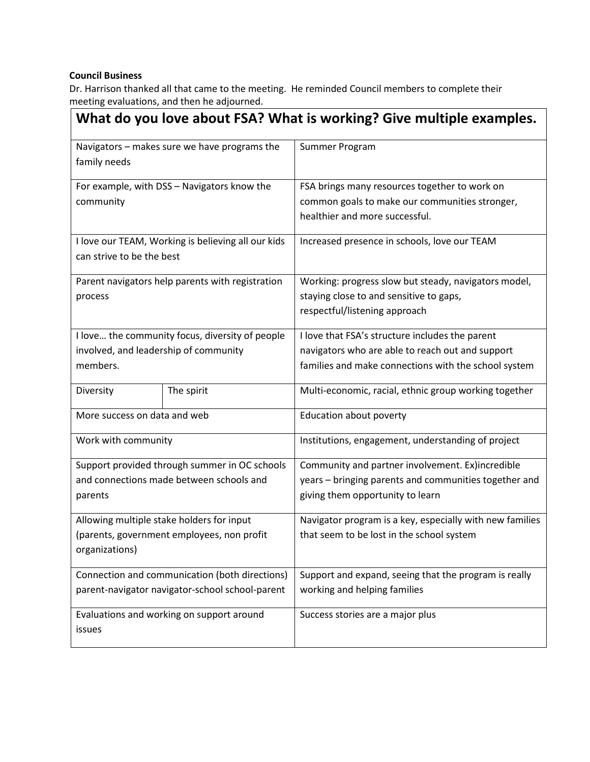### **Council Business**

Dr. Harrison thanked all that came to the meeting. He reminded Council members to complete their meeting evaluations, and then he adjourned.

| What do you love about FSA? What is working? Give multiple examples.                     |            |                                                                                                                                  |  |
|------------------------------------------------------------------------------------------|------------|----------------------------------------------------------------------------------------------------------------------------------|--|
| Navigators - makes sure we have programs the<br>family needs                             |            | Summer Program                                                                                                                   |  |
| For example, with DSS - Navigators know the<br>community                                 |            | FSA brings many resources together to work on<br>common goals to make our communities stronger,                                  |  |
|                                                                                          |            | healthier and more successful.                                                                                                   |  |
| I love our TEAM, Working is believing all our kids<br>can strive to be the best          |            | Increased presence in schools, love our TEAM                                                                                     |  |
| Parent navigators help parents with registration<br>process                              |            | Working: progress slow but steady, navigators model,<br>staying close to and sensitive to gaps,<br>respectful/listening approach |  |
| I love the community focus, diversity of people<br>involved, and leadership of community |            | I love that FSA's structure includes the parent<br>navigators who are able to reach out and support                              |  |
| members.                                                                                 |            | families and make connections with the school system                                                                             |  |
| Diversity                                                                                | The spirit | Multi-economic, racial, ethnic group working together                                                                            |  |
| More success on data and web                                                             |            | Education about poverty                                                                                                          |  |
| Work with community                                                                      |            | Institutions, engagement, understanding of project                                                                               |  |
| Support provided through summer in OC schools                                            |            | Community and partner involvement. Ex)incredible                                                                                 |  |
| and connections made between schools and<br>parents                                      |            | years - bringing parents and communities together and<br>giving them opportunity to learn                                        |  |
| Allowing multiple stake holders for input                                                |            | Navigator program is a key, especially with new families                                                                         |  |
| (parents, government employees, non profit<br>organizations)                             |            | that seem to be lost in the school system                                                                                        |  |
| Connection and communication (both directions)                                           |            | Support and expand, seeing that the program is really                                                                            |  |
| parent-navigator navigator-school school-parent                                          |            | working and helping families                                                                                                     |  |
| Evaluations and working on support around<br>issues                                      |            | Success stories are a major plus                                                                                                 |  |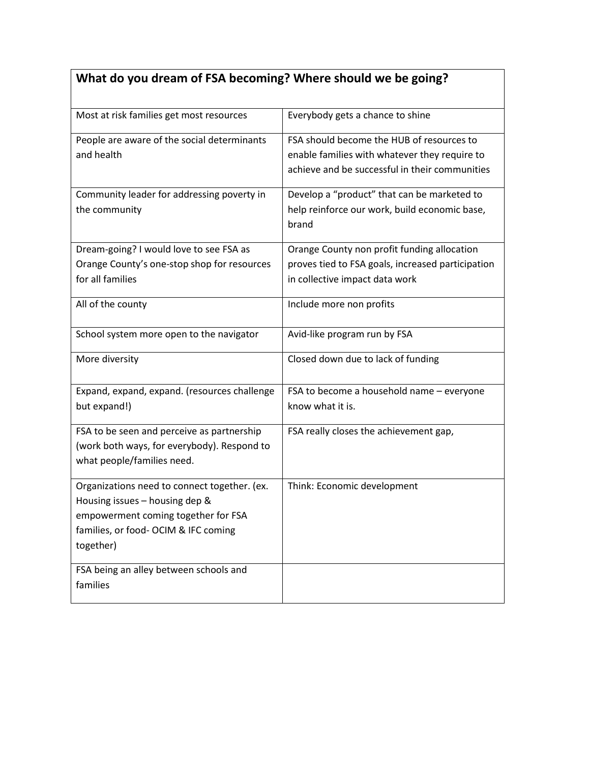# **What do you dream of FSA becoming? Where should we be going?**

| Most at risk families get most resources                                                                                                                                   | Everybody gets a chance to shine                                                                                                             |
|----------------------------------------------------------------------------------------------------------------------------------------------------------------------------|----------------------------------------------------------------------------------------------------------------------------------------------|
| People are aware of the social determinants<br>and health                                                                                                                  | FSA should become the HUB of resources to<br>enable families with whatever they require to<br>achieve and be successful in their communities |
| Community leader for addressing poverty in<br>the community                                                                                                                | Develop a "product" that can be marketed to<br>help reinforce our work, build economic base,<br>brand                                        |
| Dream-going? I would love to see FSA as<br>Orange County's one-stop shop for resources<br>for all families                                                                 | Orange County non profit funding allocation<br>proves tied to FSA goals, increased participation<br>in collective impact data work           |
| All of the county                                                                                                                                                          | Include more non profits                                                                                                                     |
| School system more open to the navigator                                                                                                                                   | Avid-like program run by FSA                                                                                                                 |
| More diversity                                                                                                                                                             | Closed down due to lack of funding                                                                                                           |
| Expand, expand, expand. (resources challenge<br>but expand!)                                                                                                               | FSA to become a household name - everyone<br>know what it is.                                                                                |
| FSA to be seen and perceive as partnership<br>(work both ways, for everybody). Respond to<br>what people/families need.                                                    | FSA really closes the achievement gap,                                                                                                       |
| Organizations need to connect together. (ex.<br>Housing issues - housing dep &<br>empowerment coming together for FSA<br>families, or food- OCIM & IFC coming<br>together) | Think: Economic development                                                                                                                  |
| FSA being an alley between schools and<br>families                                                                                                                         |                                                                                                                                              |